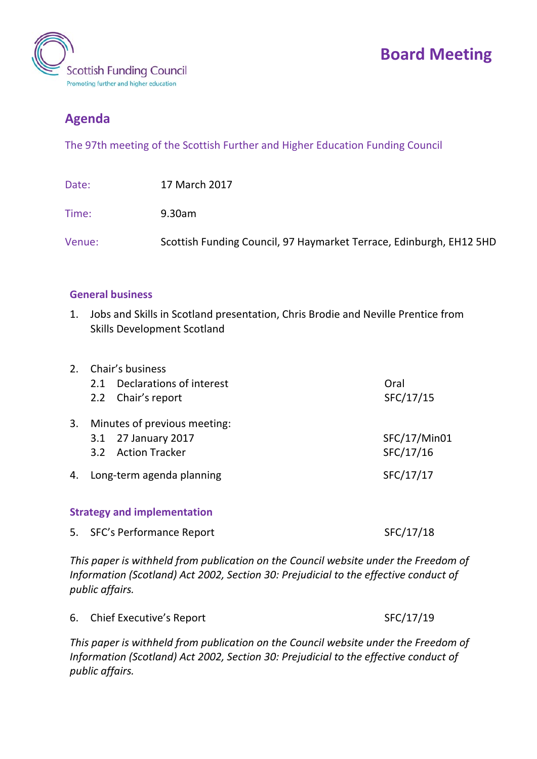

## **Board Meeting**

## **Agenda**

The 97th meeting of the Scottish Further and Higher Education Funding Council

| Date:  | 17 March 2017                                                       |
|--------|---------------------------------------------------------------------|
| Time:  | 9.30am                                                              |
| Venue: | Scottish Funding Council, 97 Haymarket Terrace, Edinburgh, EH12 5HD |

## **General business**

1. Jobs and Skills in Scotland presentation, Chris Brodie and Neville Prentice from Skills Development Scotland

|    | 2. Chair's business                |              |  |  |
|----|------------------------------------|--------------|--|--|
|    | Declarations of interest<br>2.1    | Oral         |  |  |
|    | 2.2 Chair's report                 | SFC/17/15    |  |  |
| 3. | Minutes of previous meeting:       |              |  |  |
|    | 3.1 27 January 2017                | SFC/17/Min01 |  |  |
|    | <b>Action Tracker</b><br>3.2       | SFC/17/16    |  |  |
| 4. | Long-term agenda planning          | SFC/17/17    |  |  |
|    | <b>Strategy and implementation</b> |              |  |  |
|    | 5. SFC's Performance Report        | SFC/17/18    |  |  |

*This paper is withheld from publication on the Council website under the Freedom of Information (Scotland) Act 2002, Section 30: Prejudicial to the effective conduct of public affairs.*

| 6. Chief Executive's Report |  | SFC/17/19 |
|-----------------------------|--|-----------|
|-----------------------------|--|-----------|

*This paper is withheld from publication on the Council website under the Freedom of Information (Scotland) Act 2002, Section 30: Prejudicial to the effective conduct of public affairs.*